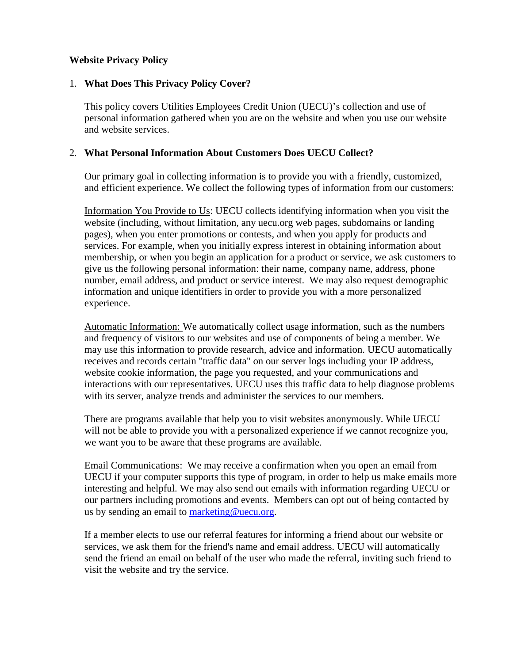# **Website Privacy Policy**

## 1. **What Does This Privacy Policy Cover?**

This policy covers Utilities Employees Credit Union (UECU)'s collection and use of personal information gathered when you are on the website and when you use our website and website services.

## 2. **What Personal Information About Customers Does UECU Collect?**

Our primary goal in collecting information is to provide you with a friendly, customized, and efficient experience. We collect the following types of information from our customers:

Information You Provide to Us: UECU collects identifying information when you visit the website (including, without limitation, any uecu.org web pages, subdomains or landing pages), when you enter promotions or contests, and when you apply for products and services. For example, when you initially express interest in obtaining information about membership, or when you begin an application for a product or service, we ask customers to give us the following personal information: their name, company name, address, phone number, email address, and product or service interest. We may also request demographic information and unique identifiers in order to provide you with a more personalized experience.

Automatic Information: We automatically collect usage information, such as the numbers and frequency of visitors to our websites and use of components of being a member. We may use this information to provide research, advice and information. UECU automatically receives and records certain "traffic data" on our server logs including your IP address, website cookie information, the page you requested, and your communications and interactions with our representatives. UECU uses this traffic data to help diagnose problems with its server, analyze trends and administer the services to our members.

There are programs available that help you to visit websites anonymously. While UECU will not be able to provide you with a personalized experience if we cannot recognize you, we want you to be aware that these programs are available.

Email Communications: We may receive a confirmation when you open an email from UECU if your computer supports this type of program, in order to help us make emails more interesting and helpful. We may also send out emails with information regarding UECU or our partners including promotions and events. Members can opt out of being contacted by us by sending an email to [marketing@uecu.org.](mailto:marketing@uecu.org)

If a member elects to use our referral features for informing a friend about our website or services, we ask them for the friend's name and email address. UECU will automatically send the friend an email on behalf of the user who made the referral, inviting such friend to visit the website and try the service.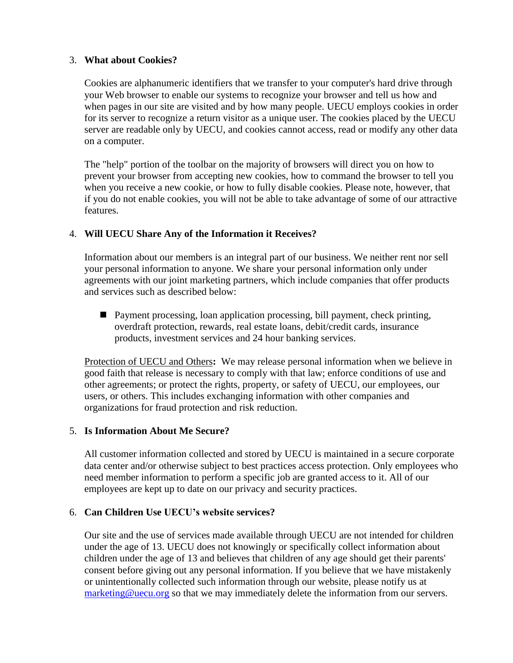# 3. **What about Cookies?**

Cookies are alphanumeric identifiers that we transfer to your computer's hard drive through your Web browser to enable our systems to recognize your browser and tell us how and when pages in our site are visited and by how many people. UECU employs cookies in order for its server to recognize a return visitor as a unique user. The cookies placed by the UECU server are readable only by UECU, and cookies cannot access, read or modify any other data on a computer.

The "help" portion of the toolbar on the majority of browsers will direct you on how to prevent your browser from accepting new cookies, how to command the browser to tell you when you receive a new cookie, or how to fully disable cookies. Please note, however, that if you do not enable cookies, you will not be able to take advantage of some of our attractive features.

# 4. **Will UECU Share Any of the Information it Receives?**

Information about our members is an integral part of our business. We neither rent nor sell your personal information to anyone. We share your personal information only under agreements with our joint marketing partners, which include companies that offer products and services such as described below:

 Payment processing, loan application processing, bill payment, check printing, overdraft protection, rewards, real estate loans, debit/credit cards, insurance products, investment services and 24 hour banking services.

Protection of UECU and Others**:** We may release personal information when we believe in good faith that release is necessary to comply with that law; enforce conditions of use and other agreements; or protect the rights, property, or safety of UECU, our employees, our users, or others. This includes exchanging information with other companies and organizations for fraud protection and risk reduction.

### 5. **Is Information About Me Secure?**

All customer information collected and stored by UECU is maintained in a secure corporate data center and/or otherwise subject to best practices access protection. Only employees who need member information to perform a specific job are granted access to it. All of our employees are kept up to date on our privacy and security practices.

# 6. **Can Children Use UECU's website services?**

Our site and the use of services made available through UECU are not intended for children under the age of 13. UECU does not knowingly or specifically collect information about children under the age of 13 and believes that children of any age should get their parents' consent before giving out any personal information. If you believe that we have mistakenly or unintentionally collected such information through our website, please notify us at [marketing@uecu.org](mailto:marketing@uecu.org) so that we may immediately delete the information from our servers.